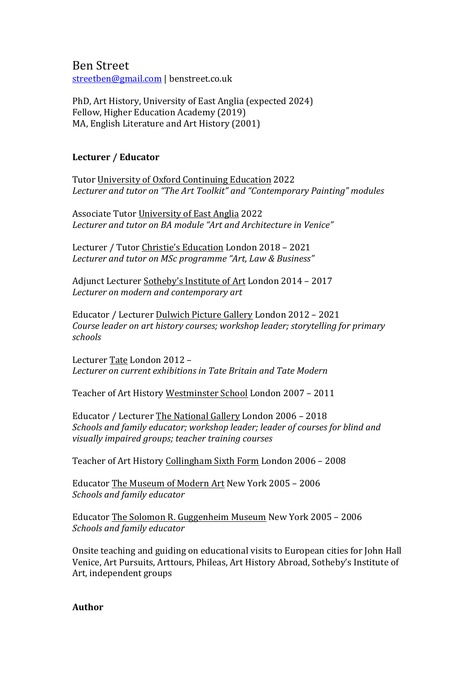Ben Street streetben@gmail.com | benstreet.co.uk

PhD, Art History, University of East Anglia (expected 2024) Fellow, Higher Education Academy (2019) MA, English Literature and Art History (2001)

# Lecturer / Educator

Tutor University of Oxford Continuing Education 2022 Lecturer and tutor on "The Art Toolkit" and "Contemporary Painting" modules

Associate Tutor University of East Anglia 2022 Lecturer and tutor on BA module "Art and Architecture in Venice"

Lecturer / Tutor Christie's Education London 2018 - 2021 Lecturer and tutor on MSc programme "Art, Law & Business"

Adjunct Lecturer Sotheby's Institute of Art London 2014 - 2017 Lecturer on modern and contemporary art

Educator / Lecturer Dulwich Picture Gallery London 2012 - 2021 *Course leader on art history courses; workshop leader; storytelling for primary schools*

Lecturer Tate London 2012 -*Lecturer on current exhibitions in Tate Britain and Tate Modern*

Teacher of Art History Westminster School London 2007 - 2011

Educator / Lecturer The National Gallery London 2006 - 2018 Schools and family educator; workshop leader; leader of courses for blind and *visually impaired groups; teacher training courses*

Teacher of Art History Collingham Sixth Form London 2006 - 2008

Educator The Museum of Modern Art New York 2005 - 2006 *Schools and family educator*

Educator The Solomon R. Guggenheim Museum New York 2005 - 2006 *Schools and family educator*

Onsite teaching and guiding on educational visits to European cities for John Hall Venice, Art Pursuits, Arttours, Phileas, Art History Abroad, Sotheby's Institute of Art, independent groups

**Author**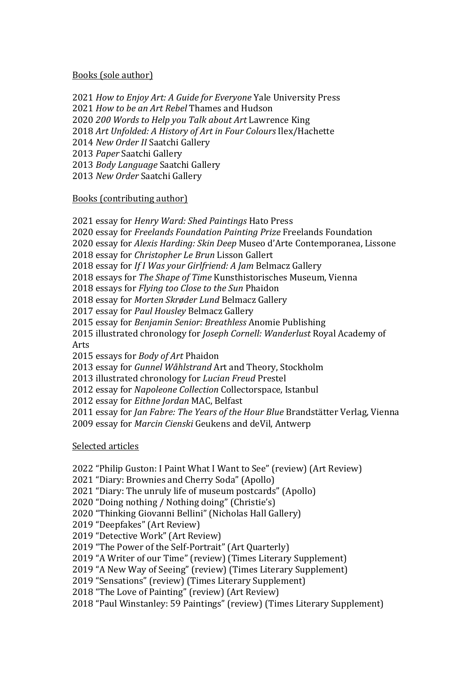### Books (sole author)

*How to Enjoy Art: A Guide for Everyone* Yale University Press *How to be an Art Rebel* Thames and Hudson *200 Words to Help you Talk about Art* Lawrence King 2018 Art Unfolded: A History of Art in Four Colours Ilex/Hachette 2014 New Order II Saatchi Gallery *Paper* Saatchi Gallery *Body Language* Saatchi Gallery 2013 New Order Saatchi Gallery

#### Books (contributing author)

2021 essay for *Henry Ward: Shed Paintings* Hato Press 2020 essay for *Freelands Foundation Painting Prize* Freelands Foundation 2020 essay for *Alexis Harding: Skin Deep* Museo d'Arte Contemporanea, Lissone 2018 essay for *Christopher Le Brun* Lisson Gallert 2018 essay for *If I Was your Girlfriend: A Jam Belmacz Gallery* 2018 essays for *The Shape of Time* Kunsthistorisches Museum, Vienna 2018 essays for *Flying too Close to the Sun* Phaidon 2018 essay for *Morten Skrøder Lund* Belmacz Gallery 2017 essay for *Paul Housley* Belmacz Gallery 2015 essay for *Benjamin Senior: Breathless* Anomie Publishing 2015 illustrated chronology for *Joseph Cornell: Wanderlust* Royal Academy of Arts 2015 essays for *Body of Art* Phaidon 2013 essay for *Gunnel Wåhlstrand* Art and Theory, Stockholm 2013 illustrated chronology for *Lucian Freud* Prestel 2012 essay for *Napoleone Collection* Collectorspace, Istanbul 2012 essay for *Eithne Jordan* MAC, Belfast 2011 essay for *Jan Fabre: The Years of the Hour Blue* Brandstätter Verlag, Vienna 2009 essay for *Marcin Cienski* Geukens and deVil, Antwerp

### Selected articles

2022 "Philip Guston: I Paint What I Want to See" (review) (Art Review)

2021 "Diary: Brownies and Cherry Soda" (Apollo)

2021 "Diary: The unruly life of museum postcards" (Apollo)

2020 "Doing nothing / Nothing doing" (Christie's)

2020 "Thinking Giovanni Bellini" (Nicholas Hall Gallery)

2019 "Deepfakes" (Art Review)

2019 "Detective Work" (Art Review)

2019 "The Power of the Self-Portrait" (Art Quarterly)

2019 "A Writer of our Time" (review) (Times Literary Supplement)

2019 "A New Way of Seeing" (review) (Times Literary Supplement)

2019 "Sensations" (review) (Times Literary Supplement)

2018 "The Love of Painting" (review) (Art Review)

2018 "Paul Winstanley: 59 Paintings" (review) (Times Literary Supplement)